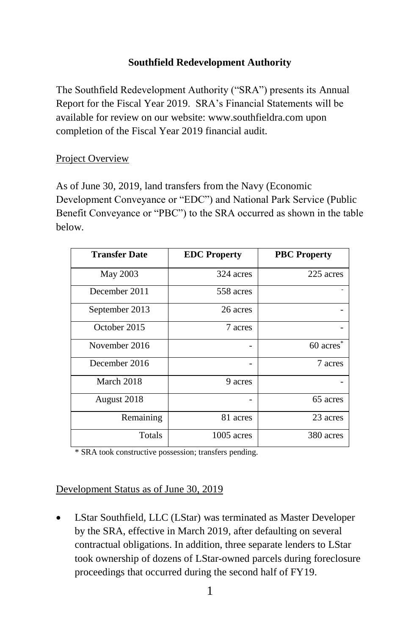## **Southfield Redevelopment Authority**

The Southfield Redevelopment Authority ("SRA") presents its Annual Report for the Fiscal Year 2019. SRA's Financial Statements will be available for review on our website[: www.southfieldra.com](http://www.southfieldra.com/) upon completion of the Fiscal Year 2019 financial audit.

### Project Overview

As of June 30, 2019, land transfers from the Navy (Economic Development Conveyance or "EDC") and National Park Service (Public Benefit Conveyance or "PBC") to the SRA occurred as shown in the table below.

| <b>Transfer Date</b> | <b>EDC</b> Property | <b>PBC Property</b>   |
|----------------------|---------------------|-----------------------|
| May 2003             | 324 acres           | 225 acres             |
| December 2011        | 558 acres           |                       |
| September 2013       | 26 acres            |                       |
| October 2015         | 7 acres             |                       |
| November 2016        |                     | 60 acres <sup>*</sup> |
| December 2016        |                     | 7 acres               |
| March 2018           | 9 acres             |                       |
| August 2018          |                     | 65 acres              |
| Remaining            | 81 acres            | 23 acres              |
| Totals               | $1005$ acres        | 380 acres             |

\* SRA took constructive possession; transfers pending.

#### Development Status as of June 30, 2019

• LStar Southfield, LLC (LStar) was terminated as Master Developer by the SRA, effective in March 2019, after defaulting on several contractual obligations. In addition, three separate lenders to LStar took ownership of dozens of LStar-owned parcels during foreclosure proceedings that occurred during the second half of FY19.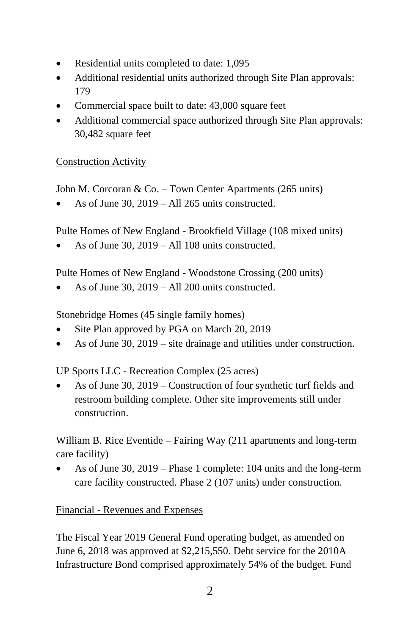- Residential units completed to date: 1,095
- Additional residential units authorized through Site Plan approvals: 179
- Commercial space built to date: 43,000 square feet
- Additional commercial space authorized through Site Plan approvals: 30,482 square feet

### Construction Activity

John M. Corcoran & Co. – Town Center Apartments (265 units)

As of June 30,  $2019 - All 265$  units constructed.

Pulte Homes of New England - Brookfield Village (108 mixed units)

As of June  $30, 2019 - Al1108$  units constructed.

Pulte Homes of New England - Woodstone Crossing (200 units)

As of June  $30$ ,  $2019 - All 200$  units constructed.

Stonebridge Homes (45 single family homes)

- Site Plan approved by PGA on March 20, 2019
- As of June 30, 2019 site drainage and utilities under construction.

UP Sports LLC - Recreation Complex (25 acres)

• As of June 30, 2019 – Construction of four synthetic turf fields and restroom building complete. Other site improvements still under construction.

William B. Rice Eventide – Fairing Way (211 apartments and long-term care facility)

• As of June 30, 2019 – Phase 1 complete: 104 units and the long-term care facility constructed. Phase 2 (107 units) under construction.

Financial - Revenues and Expenses

The Fiscal Year 2019 General Fund operating budget, as amended on June 6, 2018 was approved at \$2,215,550. Debt service for the 2010A Infrastructure Bond comprised approximately 54% of the budget. Fund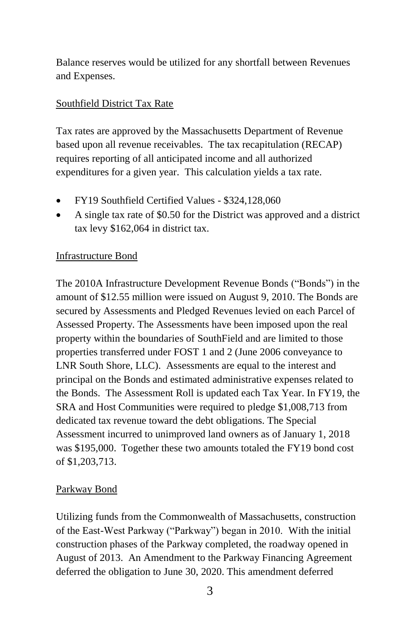Balance reserves would be utilized for any shortfall between Revenues and Expenses.

# Southfield District Tax Rate

Tax rates are approved by the Massachusetts Department of Revenue based upon all revenue receivables. The tax recapitulation (RECAP) requires reporting of all anticipated income and all authorized expenditures for a given year. This calculation yields a tax rate.

- FY19 Southfield Certified Values \$324,128,060
- A single tax rate of \$0.50 for the District was approved and a district tax levy \$162,064 in district tax.

# Infrastructure Bond

The 2010A Infrastructure Development Revenue Bonds ("Bonds") in the amount of \$12.55 million were issued on August 9, 2010. The Bonds are secured by Assessments and Pledged Revenues levied on each Parcel of Assessed Property. The Assessments have been imposed upon the real property within the boundaries of SouthField and are limited to those properties transferred under FOST 1 and 2 (June 2006 conveyance to LNR South Shore, LLC). Assessments are equal to the interest and principal on the Bonds and estimated administrative expenses related to the Bonds. The Assessment Roll is updated each Tax Year. In FY19, the SRA and Host Communities were required to pledge \$1,008,713 from dedicated tax revenue toward the debt obligations. The Special Assessment incurred to unimproved land owners as of January 1, 2018 was \$195,000. Together these two amounts totaled the FY19 bond cost of \$1,203,713.

## Parkway Bond

Utilizing funds from the Commonwealth of Massachusetts, construction of the East-West Parkway ("Parkway") began in 2010. With the initial construction phases of the Parkway completed, the roadway opened in August of 2013. An Amendment to the Parkway Financing Agreement deferred the obligation to June 30, 2020. This amendment deferred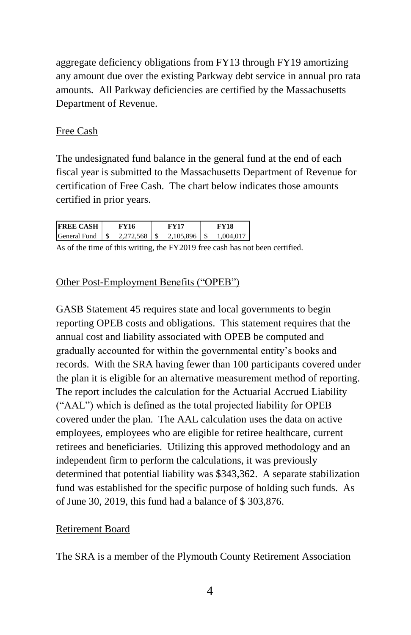aggregate deficiency obligations from FY13 through FY19 amortizing any amount due over the existing Parkway debt service in annual pro rata amounts. All Parkway deficiencies are certified by the Massachusetts Department of Revenue.

### Free Cash

The undesignated fund balance in the general fund at the end of each fiscal year is submitted to the Massachusetts Department of Revenue for certification of Free Cash. The chart below indicates those amounts certified in prior years.

| <b>FREE CASH</b> | FY 16     | 7V17      |           |
|------------------|-----------|-----------|-----------|
| General Fund     | 2.272.568 | 2.105.896 | 1.004.017 |

As of the time of this writing, the FY2019 free cash has not been certified.

#### Other Post-Employment Benefits ("OPEB")

GASB Statement 45 requires state and local governments to begin reporting OPEB costs and obligations. This statement requires that the annual cost and liability associated with OPEB be computed and gradually accounted for within the governmental entity's books and records. With the SRA having fewer than 100 participants covered under the plan it is eligible for an alternative measurement method of reporting. The report includes the calculation for the Actuarial Accrued Liability ("AAL") which is defined as the total projected liability for OPEB covered under the plan. The AAL calculation uses the data on active employees, employees who are eligible for retiree healthcare, current retirees and beneficiaries. Utilizing this approved methodology and an independent firm to perform the calculations, it was previously determined that potential liability was \$343,362. A separate stabilization fund was established for the specific purpose of holding such funds. As of June 30, 2019, this fund had a balance of \$ 303,876.

#### Retirement Board

The SRA is a member of the Plymouth County Retirement Association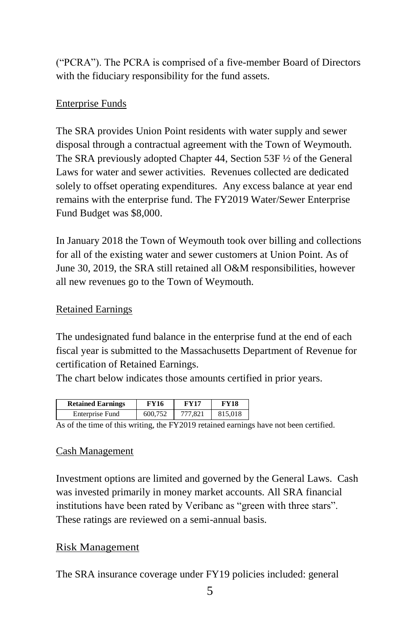("PCRA"). The PCRA is comprised of a five-member Board of Directors with the fiduciary responsibility for the fund assets.

# Enterprise Funds

The SRA provides Union Point residents with water supply and sewer disposal through a contractual agreement with the Town of Weymouth. The SRA previously adopted Chapter 44, Section 53F ½ of the General Laws for water and sewer activities. Revenues collected are dedicated solely to offset operating expenditures. Any excess balance at year end remains with the enterprise fund. The FY2019 Water/Sewer Enterprise Fund Budget was \$8,000.

In January 2018 the Town of Weymouth took over billing and collections for all of the existing water and sewer customers at Union Point. As of June 30, 2019, the SRA still retained all O&M responsibilities, however all new revenues go to the Town of Weymouth.

## Retained Earnings

The undesignated fund balance in the enterprise fund at the end of each fiscal year is submitted to the Massachusetts Department of Revenue for certification of Retained Earnings.

The chart below indicates those amounts certified in prior years.

| <b>Retained Earnings</b> | FY16    | <b>FY17</b>                                                      | <b>FY18</b> |
|--------------------------|---------|------------------------------------------------------------------|-------------|
| Enterprise Fund          | 600.752 | 777,821                                                          | 815,018     |
|                          |         | $\mathbf{H}$ $\mathbf{L}$ $\mathbf{A}$ $\mathbf{A}$ $\mathbf{A}$ |             |

As of the time of this writing, the FY2019 retained earnings have not been certified.

## Cash Management

Investment options are limited and governed by the General Laws. Cash was invested primarily in money market accounts. All SRA financial institutions have been rated by Veribanc as "green with three stars". These ratings are reviewed on a semi-annual basis.

## Risk Management

The SRA insurance coverage under FY19 policies included: general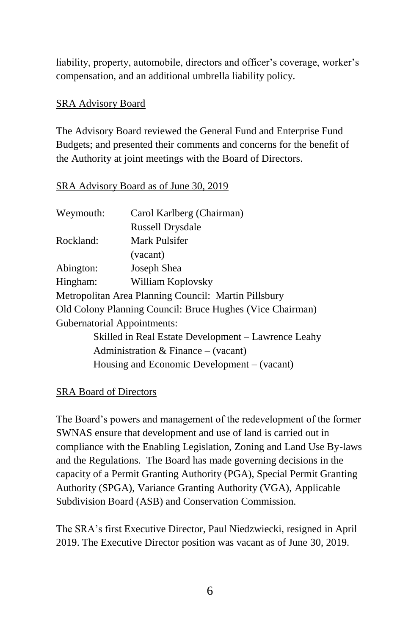liability, property, automobile, directors and officer's coverage, worker's compensation, and an additional umbrella liability policy.

### SRA Advisory Board

The Advisory Board reviewed the General Fund and Enterprise Fund Budgets; and presented their comments and concerns for the benefit of the Authority at joint meetings with the Board of Directors.

### SRA Advisory Board as of June 30, 2019

| Carol Karlberg (Chairman)                                 |
|-----------------------------------------------------------|
| <b>Russell Drysdale</b>                                   |
| Mark Pulsifer                                             |
| (vacant)                                                  |
| Joseph Shea                                               |
| William Koplovsky                                         |
| Metropolitan Area Planning Council: Martin Pillsbury      |
| Old Colony Planning Council: Bruce Hughes (Vice Chairman) |
| <b>Gubernatorial Appointments:</b>                        |
| Skilled in Real Estate Development - Lawrence Leahy       |
| Administration & Finance $-$ (vacant)                     |
| Housing and Economic Development $-$ (vacant)             |
|                                                           |

#### SRA Board of Directors

The Board's powers and management of the redevelopment of the former SWNAS ensure that development and use of land is carried out in compliance with the Enabling Legislation, Zoning and Land Use By-laws and the Regulations. The Board has made governing decisions in the capacity of a Permit Granting Authority (PGA), Special Permit Granting Authority (SPGA), Variance Granting Authority (VGA), Applicable Subdivision Board (ASB) and Conservation Commission.

The SRA's first Executive Director, Paul Niedzwiecki, resigned in April 2019. The Executive Director position was vacant as of June 30, 2019.